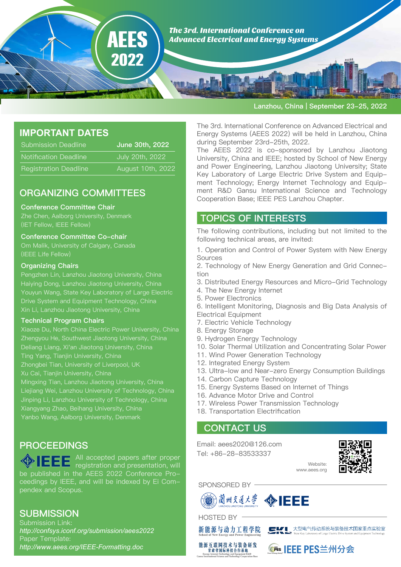

#### Lanzhou, China | September 23-25, 2022

## **IMPORTANT DATES**

| <b>Submission Deadline</b>   | June 30th, 2022 <sup>1</sup> |
|------------------------------|------------------------------|
| <b>Notification Deadline</b> | July 20th, 2022              |
| <b>Registration Deadline</b> | August 10th, 2022            |

## ORGANIZING COMMITTEES

#### Conference Committee Chair

Zhe Chen, Aalborg University, Denmark (IET Fellow, IEEE Fellow)

#### Conference Committee Co-chair

Om Malik, University of Calgary, Canada (IEEE Life Fellow)

### Organizing Chairs

Pengzhen Lin, Lanzhou Jiaotong University, China Youyun Wang, State Key Laboratory of Large Electric Drive System and Equipment Technology, China Xin Li, Lanzhou Jiaotong University, China

### Technical Program Chairs

Xiaoze Du, North China Electric Power University, China Zhengyou He, Southwest Jiaotong University, China Deliang Liang, Xi'an Jiaotong University, China Ting Yang, Tianjin University, China Zhongbei Tian, University of Liverpool, UK Xu Cai, Tianjin University, China Mingxing Tian, Lanzhou Jiaotong University, China Liejiang Wei, Lanzhou University of Technology, China Jinping Li, Lanzhou University of Technology, China Xiangyang Zhao, Beihang University, China Yanbo Wang, Aalborg University, Denmark

## **PROCEEDINGS**

All accepted papers after proper registration and presentation, will be published in the AEES 2022 Conference Proceedings by IEEE, and will be indexed by Ei Compendex and Scopus.

## **SUBMISSION**

Submission Link: *http://confsys.iconf.org/submission/aees2022* Paper Template: *http://www.aees.org/IEEE-Formatting.doc*

The 3rd. International Conference on Advanced Electrical and Energy Systems (AEES 2022) will be held in Lanzhou, China during September 23rd-25th, 2022.

The AEES 2022 is co-sponsored by Lanzhou Jiaotong University, China and IEEE; hosted by School of New Energy and Power Engineering, Lanzhou Jiaotong University; State Key Laboratory of Large Electric Drive System and Equipment Technology; Energy Internet Technology and Equipment R&D Gansu International Science and Technology Cooperation Base; IEEE PES Lanzhou Chapter.

### TOPICS OF INTERESTS

The following contributions, including but not limited to the following technical areas, are invited:

1. Operation and Control of Power System with New Energy **Sources** 

2. Technology of New Energy Generation and Grid Connection

- 3. Distributed Energy Resources and Micro-Grid Technology
- 4. The New Energy Internet
- 5. Power Electronics
- 6. Intelligent Monitoring, Diagnosis and Big Data Analysis of Electrical Equipment
- 7. Electric Vehicle Technology
- 8. Energy Storage
- 9. Hydrogen Energy Technology
- 10. Solar Thermal Utilization and Concentrating Solar Power
- 11. Wind Power Generation Technology
- 12. Integrated Energy System
- 13. Ultra-low and Near-zero Energy Consumption Buildings
- 14. Carbon Capture Technology
- 15. Energy Systems Based on Internet of Things
- 16. Advance Motor Drive and Control
- 17. Wireless Power Transmission Technology
- 18. Transportation Electrification

### CONTACT US

Email: aees2020@126.com Tel: +86-28-83533337



SPONSORED BY







**GFEs IEEE PES兰州分会** 

Website: www.aees.org